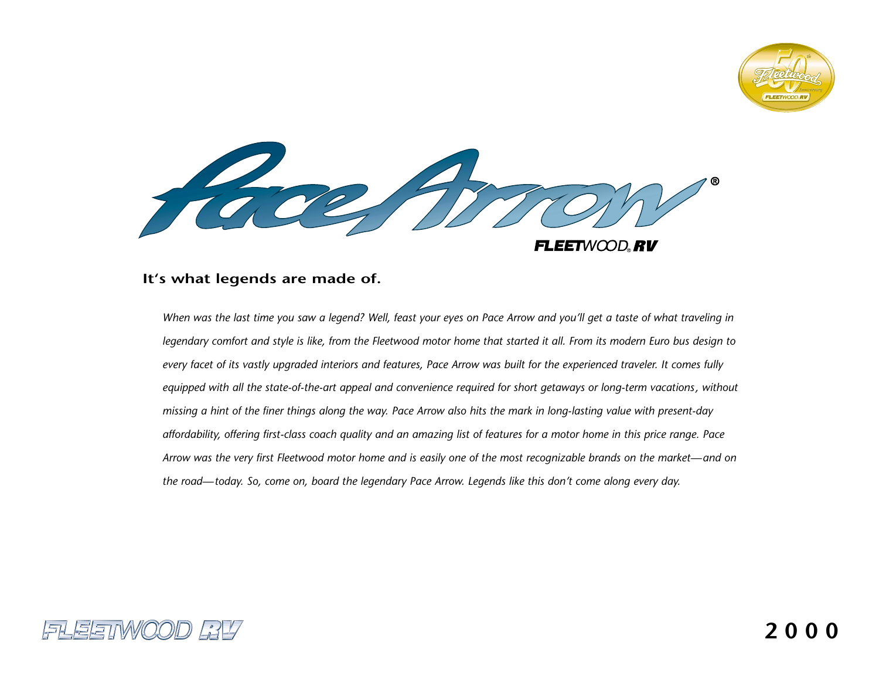

Tacent **FLEETWOOD RV** 

# **It's what legends are made of.**

*When was the last time you saw a legend? Well, feast your eyes on Pace Arrow and you'll get a taste of what traveling in legendary comfort and style is like, from the Fleetwood motor home that started it all. From its modern Euro bus design to every facet of its vastly upgraded interiors and features, Pace Arrow was built for the experienced traveler. It comes fully equipped with all the state-of-the-art appeal and convenience required for short getaways or long-term vacations, without missing a hint of the finer things along the way. Pace Arrow also hits the mark in long-lasting value with present-day affordability, offering first-class coach quality and an amazing list of features for a motor home in this price range. Pace Arrow was the very first Fleetwood motor home and is easily one of the most recognizable brands on the market—and on the road—today. So, come on, board the legendary Pace Arrow. Legends like this don't come along every day.*

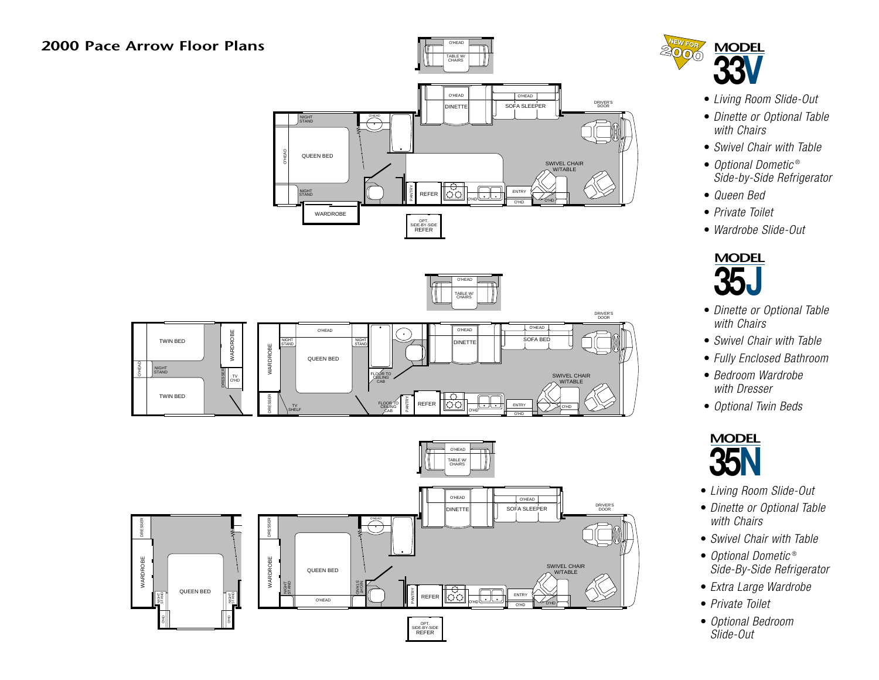O'HEAD







- *Living Room Slide-Out*
- *Dinette or Optional Table with Chairs*
- *Swivel Chair with Table*
- *Optional Dometic* ® *Side-by-Side Refrigerator*
- *Queen Bed*
- *Private Toilet*
- *Wardrobe Slide-Out*



- *Dinette or Optional Table with Chairs*
- *Swivel Chair with Table*
- *Fully Enclosed Bathroom*
- *Bedroom Wardrobe with Dresser*
- *Optional Twin Beds*



- *Living Room Slide-Out*
- *Dinette or Optional Table with Chairs*
- *Swivel Chair with Table*
- *Optional Dometic* ® *Side-By-Side Refrigerator*
- *Extra Large Wardrobe*
- *Private Toilet*
- *Optional Bedroom Slide-Out*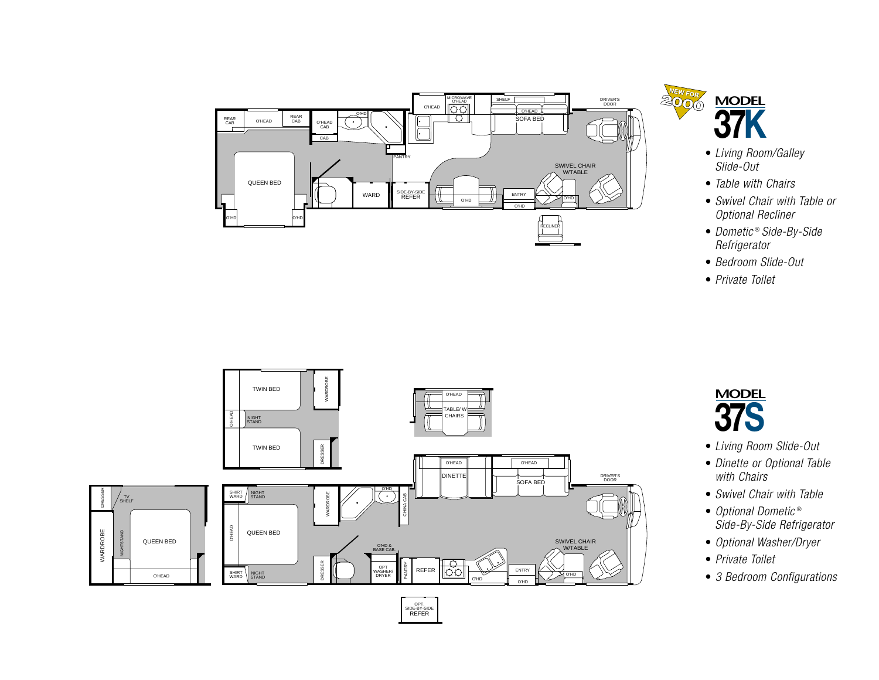



- *Living Room/Galley Slide-Out*
- *Table with Chairs*
- *Swivel Chair with Table or Optional Recliner*
- *Dometic* ® *Side-By-Side Refrigerator*
- *Bedroom Slide-Out*
- *Private Toilet*





- *Living Room Slide-Out*
- *Dinette or Optional Table with Chairs*
- *Swivel Chair with Table*
- *Optional Dometic* ® *Side-By-Side Refrigerator*
- *Optional Washer/Dryer*
- *Private Toilet*
- *3 Bedroom Configurations*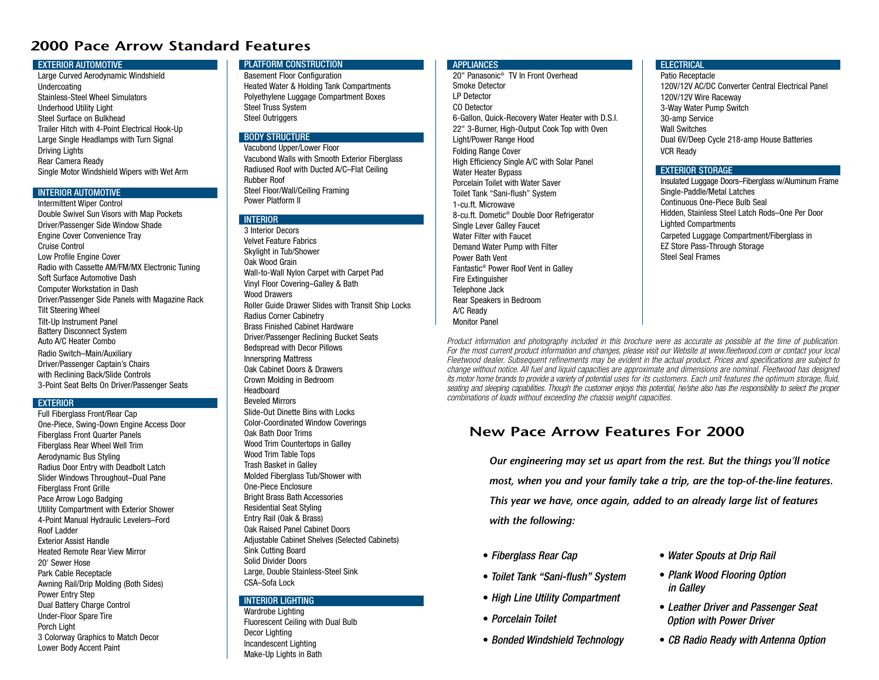# **2000 Pace Arrow Standard Features**

#### EXTERIOR AUTOMOTIVE

Large Curved Aerodynamic Windshield Undercoating Stainless-Steel Wheel SimulatorsUnderhood Utility Light Steel Surface on BulkheadTrailer Hitch with 4-Point Electrical Hook-Up Large Single Headlamps with Turn Signal Driving Lights Rear Camera Ready Single Motor Windshield Wipers with Wet Arm

#### **INTERIOR AUTOMOTIVE**

 Intermittent Wiper Control Double Swivel Sun Visors with Map Pockets Driver/Passenger Side Window Shade Engine Cover Convenience Tray Cruise ControlLow Profile Engine Cover Radio with Cassette AM/FM/MX Electronic Tuning Soft Surface Automotive DashComputer Workstation in Dash Driver/Passenger Side Panels with Magazine Rack Tilt Steering Wheel Tilt-Up Instrument Panel Battery Disconnect System Auto A/C Heater ComboRadio Switch–Main/Auxiliary Driver/Passenger Captain's Chairs with Reclining Back/Slide Controls 3-Point Seat Belts On Driver/Passenger Seats

#### **EXTERIOR**

Full Fiberglass Front/Rear Cap One-Piece, Swing-Down Engine Access Door Fiberglass Front Quarter Panels Fiberglass Rear Wheel Well Trim Aerodynamic Bus Styling Radius Door Entry with Deadbolt Latch Slider Windows Throughout–Dual Pane Fiberglass Front Grille Pace Arrow Logo Badging Utility Compartment with Exterior Shower 4-Point Manual Hydraulic Levelers–Ford Roof LadderExterior Assist HandleHeated Remote Rear View Mirror20' Sewer HosePark Cable Receptacle Awning Rail/Drip Molding (Both Sides) Power Entry Step Dual Battery Charge Control Under-Floor Spare Tire Porch Light 3 Colorway Graphics to Match Decor Lower Body Accent Paint

#### PLATFORM CONSTRUCTION

Basement Floor Configuration Heated Water & Holding Tank Compartments Polyethylene Luggage Compartment Boxes Steel Truss System Steel Outriggers

## BODY STRUCTURE

Vacubond Upper/Lower Floor Vacubond Walls with Smooth Exterior Fiberglass Radiused Roof with Ducted A/C–Flat Ceiling Rubber RoofSteel Floor/Wall/Ceiling Framing Power Platform II

#### **INTERIOR**

3 Interior DecorsVelvet Feature FabricsSkylight in Tub/Shower Oak Wood Grain Wall-to-Wall Nylon Carpet with Carpet Pad Vinyl Floor Covering–Galley & Bath Wood DrawersRoller Guide Drawer Slides with Transit Ship Locks Radius Corner Cabinetry Brass Finished Cabinet HardwareDriver/Passenger Reclining Bucket Seats Bedspread with Decor Pillows Innerspring Mattress Oak Cabinet Doors & DrawersCrown Molding in Bedroom HeadboardBeveled Mirrors Slide-Out Dinette Bins with LocksColor-Coordinated Window Coverings Oak Bath Door TrimsWood Trim Countertops in Galley Wood Trim Table Tops Trash Basket in Galley Molded Fiberglass Tub/Shower with One-Piece EnclosureBright Brass Bath Accessories Residential Seat Styling Entry Rail (Oak & Brass) Oak Raised Panel Cabinet DoorsAdjustable Cabinet Shelves (Selected Cabinets) Sink Cutting Board Solid Divider DoorsLarge, Double Stainless-Steel Sink CSA–Sofa Lock

## INTERIOR LIGHTING

Wardrobe Lighting Fluorescent Ceiling with Dual Bulb Decor Lighting Incandescent Lighting Make-Up Lights in Bath

## APPLIANCES

20" Panasonic® TV In Front OverheadSmoke DetectorLP DetectorCO Detector6-Gallon, Quick-Recovery Water Heater with D.S.I. 22" 3-Burner, High-Output Cook Top with Oven Light/Power Range Hood Folding Range Cover High Efficiency Single A/C with Solar Panel Water Heater Bypass Porcelain Toilet with Water SaverToilet Tank "Sani-flush" System 1-cu.ft. Microwave8-cu.ft. Dometic® Double Door Refrigerator Single Lever Galley Faucet Water Filter with FaucetDemand Water Pump with Filter Power Bath VentFantastic® Power Roof Vent in Galley Fire Extinguisher Telephone Jack Rear Speakers in Bedroom A/C Ready Monitor Panel

## **ELECTRICAL**

Patio Receptacle 120V/12V AC/DC Converter Central Electrical Panel120V/12V Wire Raceway 3-Way Water Pump Switch 30-amp Service Wall SwitchesDual 6V/Deep Cycle 218-amp House Batteries VCR Ready

## EXTERIOR STORAGE

 Insulated Luggage Doors–Fiberglass w/Aluminum Frame Single-Paddle/Metal Latches Continuous One-Piece Bulb SealHidden, Stainless Steel Latch Rods–One Per Door Lighted Compartments Carpeted Luggage Compartment/Fiberglass in EZ Store Pass-Through Storage Steel Seal Frames

*Product information and photography included in this brochure were as accurate as possible at the time of publication. For the most current product information and changes, please visit our Website at www.fleetwood.com or contact your local Fleetwood dealer. Subsequent refinements may be evident in the actual product. Prices and specifications are subject to change without notice. All fuel and liquid capacities are approximate and dimensions are nominal. Fleetwood has designed its motor home brands to provide a variety of potential uses for its customers. Each unit features the optimum storage, fluid, seating and sleeping capabilities. Though the customer enjoys this potential, he/she also has the responsibility to select the proper combinations of loads without exceeding the chassis weight capacities.*

# **New Pace Arrow Features For 2000**

*Our engineering may set us apart from the rest. But the things you'll notice most, when you and your family take a trip, are the top-of-the-line features. This year we have, once again, added to an already large list of features with the following:*

- *Fiberglass Rear Cap*
- *Toilet Tank "Sani-flush" System*
- *High Line Utility Compartment*
- *Porcelain Toilet*
- *Bonded Windshield Technology*
- *Water Spouts at Drip Rail*
- *Plank Wood Flooring Option in Galley*
- *Leather Driver and Passenger Seat Option with Power Driver*
- *CB Radio Ready with Antenna Option*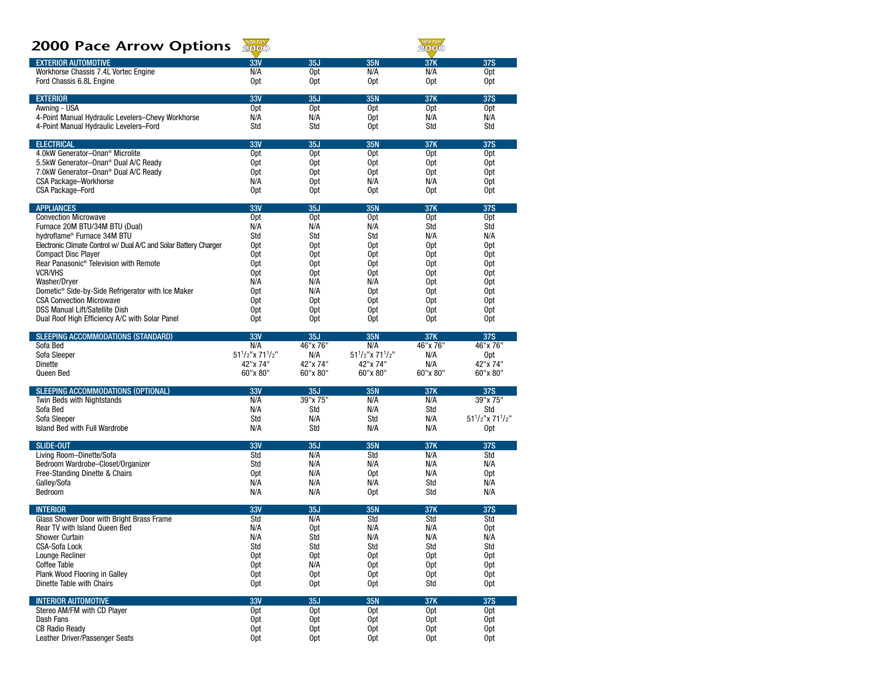# 2000 Pace Arrow Options

| <b>ZUUU PACE Arrow Options</b>                                           | 2000                              |                                    |                                   | 2000                   |                            |
|--------------------------------------------------------------------------|-----------------------------------|------------------------------------|-----------------------------------|------------------------|----------------------------|
| <b>EXTERIOR AUTOMOTIVE</b>                                               | <b>33V</b>                        | 35J                                | <b>35N</b>                        | 37K                    | <b>37S</b>                 |
| Workhorse Chassis 7.4L Vortec Engine                                     | N/A                               | 0 <sub>pt</sub>                    | N/A                               | N/A                    | Opt                        |
| Ford Chassis 6.8L Engine                                                 | 0 <sub>pt</sub>                   | 0pt                                | 0 <sub>pt</sub>                   | 0 <sub>pt</sub>        | 0pt                        |
| <b>EXTERIOR</b>                                                          | 33V                               | 35J                                | <b>35N</b>                        | 37K                    | <b>37S</b>                 |
| Awning - USA                                                             | Opt                               | 0 <sub>pt</sub>                    | Opt                               | Opt                    | Opt                        |
| 4-Point Manual Hydraulic Levelers-Chevy Workhorse                        | N/A                               | N/A                                | 0 <sub>pt</sub>                   | N/A                    | N/A                        |
| 4-Point Manual Hydraulic Levelers-Ford                                   | Std                               | Std                                | 0 <sub>pt</sub>                   | Std                    | Std                        |
| <b>ELECTRICAL</b>                                                        | <b>33V</b>                        | 35J                                | <b>35N</b>                        | 37K                    | <b>37S</b>                 |
| 4.0kW Generator-Onan <sup>®</sup> Microlite                              | 0 <sub>pt</sub>                   | 0 <sub>pt</sub>                    | 0 <sub>pt</sub>                   | 0 <sub>pt</sub>        | Opt                        |
| 5.5kW Generator-Onan <sup>®</sup> Dual A/C Ready                         | Opt                               | Opt                                | Opt                               | 0 <sub>pt</sub>        | 0pt                        |
| 7.0kW Generator-Onan <sup>®</sup> Dual A/C Ready                         | 0pt                               | 0 <sub>pt</sub>                    | 0 <sub>pt</sub>                   | Opt                    | 0pt                        |
| <b>CSA Package-Workhorse</b>                                             | N/A                               | 0 <sub>pt</sub><br>0 <sub>pt</sub> | N/A                               | N/A<br>0 <sub>pt</sub> | 0pt<br>0pt                 |
| CSA Package-Ford                                                         | 0pt                               |                                    | 0pt                               |                        |                            |
| <b>APPLIANCES</b>                                                        | <b>33V</b>                        | 35J                                | 35N                               | 37K                    | <b>37S</b>                 |
| <b>Convection Microwave</b>                                              | Opt                               | Opt                                | 0 <sub>pt</sub>                   | 0 <sub>pt</sub>        | Opt                        |
| Furnace 20M BTU/34M BTU (Dual)<br>hydroflame® Furnace 34M BTU            | N/A<br>Std                        | N/A<br>Std                         | N/A<br>Std                        | Std<br>N/A             | Std<br>N/A                 |
| Electronic Climate Control w/ Dual A/C and Solar Battery Charger         | 0pt                               | Opt                                | 0 <sub>pt</sub>                   | 0 <sub>pt</sub>        | 0pt                        |
| <b>Compact Disc Player</b>                                               | Opt                               | Opt                                | 0 <sub>pt</sub>                   | 0 <sub>pt</sub>        | 0pt                        |
| Rear Panasonic <sup>®</sup> Television with Remote                       | 0 <sub>pt</sub>                   | 0 <sub>pt</sub>                    | 0pt                               | Opt                    | 0pt                        |
| <b>VCR/VHS</b>                                                           | 0 <sub>pt</sub>                   | Opt                                | 0pt                               | 0 <sub>pt</sub>        | 0pt                        |
| Washer/Dryer                                                             | N/A                               | N/A                                | N/A                               | Opt                    | 0pt                        |
| Dometic <sup>®</sup> Side-by-Side Refrigerator with Ice Maker            | 0 <sub>pt</sub>                   | N/A                                | 0pt                               | 0 <sub>pt</sub>        | 0pt                        |
| <b>CSA Convection Microwave</b><br><b>DSS Manual Lift/Satellite Dish</b> | 0pt<br>0 <sub>pt</sub>            | 0 <sub>pt</sub><br>0 <sub>pt</sub> | 0pt<br>Opt                        | Opt<br>Opt             | 0pt                        |
| Dual Roof High Efficiency A/C with Solar Panel                           | 0 <sub>pt</sub>                   | 0 <sub>pt</sub>                    | Opt                               | 0 <sub>pt</sub>        | 0pt<br>0pt                 |
|                                                                          |                                   |                                    |                                   |                        |                            |
| <b>SLEEPING ACCOMMODATIONS (STANDARD)</b>                                | 33V                               | 35J                                | 35N                               | 37K                    | <b>37S</b>                 |
| Sofa Bed<br>Sofa Sleeper                                                 | N/A<br>$51^{1}/2$ "x $71^{1}/2$ " | 46"x 76"<br>N/A                    | N/A<br>$51^{1}/2$ "x $71^{1}/2$ " | 46"x 76"<br>N/A        | 46"x 76"<br>0pt            |
| Dinette                                                                  | 42"x 74"                          | 42"x 74"                           | 42"x 74"                          | N/A                    | 42"x 74"                   |
| Queen Bed                                                                | 60"x 80"                          | 60"x 80"                           | 60"x 80"                          | 60"x 80"               | 60"x 80"                   |
| SLEEPING ACCOMMODATIONS (OPTIONAL)                                       | <b>33V</b>                        | 35J                                | <b>35N</b>                        | 37K                    | <b>37S</b>                 |
| Twin Beds with Nightstands                                               | N/A                               | 39"x 75"                           | N/A                               | N/A                    | 39"x 75"                   |
| Sofa Bed                                                                 | N/A                               | Std                                | N/A                               | Std                    | Std                        |
| Sofa Sleeper                                                             | Std                               | N/A                                | Std                               | N/A                    | $51^{1}/2$ "x $71^{1}/2$ " |
| Island Bed with Full Wardrobe                                            | N/A                               | Std                                | N/A                               | N/A                    | 0pt                        |
| <b>SLIDE-OUT</b>                                                         | 33V                               | 35J                                | <b>35N</b>                        | 37K                    | <b>37S</b>                 |
| Living Room-Dinette/Sofa                                                 | Std                               | N/A                                | Std                               | N/A                    | Std                        |
| Bedroom Wardrobe-Closet/Organizer                                        | Std                               | N/A                                | N/A                               | N/A                    | N/A                        |
| Free-Standing Dinette & Chairs                                           | 0 <sub>pt</sub>                   | N/A                                | 0 <sub>pt</sub>                   | N/A                    | 0pt                        |
| Galley/Sofa<br>Bedroom                                                   | N/A<br>N/A                        | N/A<br>N/A                         | N/A                               | Std<br>Std             | N/A<br>N/A                 |
|                                                                          |                                   |                                    | 0pt                               |                        |                            |
| <b>INTERIOR</b>                                                          | 33V                               | 35J                                | 35N                               | 37K                    | <b>37S</b>                 |
| Glass Shower Door with Bright Brass Frame                                | Std                               | N/A                                | Std                               | Std                    | Std                        |
| <b>Rear TV with Island Queen Bed</b><br><b>Shower Curtain</b>            | N/A<br>N/A                        | 0 <sub>pt</sub><br>Std             | N/A<br>N/A                        | N/A<br>N/A             | 0pt<br>N/A                 |
| CSA-Sofa Lock                                                            | Std                               | Std                                | Std                               | Std                    | Std                        |
| Lounge Recliner                                                          | 0 <sub>pt</sub>                   | 0 <sub>pt</sub>                    | 0pt                               | 0pt                    | 0 <sub>pt</sub>            |
| Coffee Table                                                             | 0 <sub>pt</sub>                   | N/A                                | 0pt                               | 0pt                    | 0pt                        |
| Plank Wood Flooring in Galley                                            | 0 <sub>pt</sub>                   | 0pt                                | 0pt                               | 0pt                    | Opt                        |
| Dinette Table with Chairs                                                | Opt                               | 0pt                                | 0pt                               | Std                    | 0pt                        |
| <b>INTERIOR AUTOMOTIVE</b>                                               | <b>33V</b>                        | 35J                                | 35N                               | 37K                    | 37S                        |
| Stereo AM/FM with CD Player                                              | 0 <sub>pt</sub>                   | 0pt                                | 0pt                               | 0pt                    | 0pt                        |
| Dash Fans                                                                | 0pt                               | 0pt                                | 0pt                               | 0pt                    | 0 <sub>pt</sub>            |
| <b>CB Radio Ready</b>                                                    | 0 <sub>pt</sub>                   | 0pt                                | 0pt                               | 0pt                    | 0pt                        |
| Leather Driver/Passenger Seats                                           | 0 <sub>pt</sub>                   | 0pt                                | 0pt                               | 0pt                    | Opt                        |

NEW FOR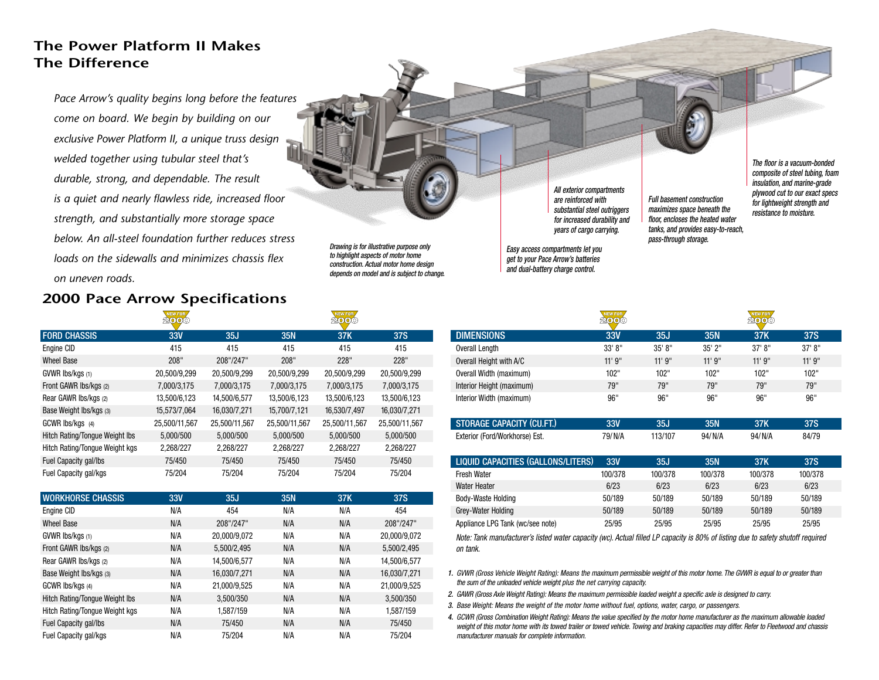# **The Power Platform II Makes The Difference**

*Pace Arrow's quality begins long before the features come on board. We begin by building on our exclusive Power Platform II, a unique truss design welded together using tubular steel that's durable, strong, and dependable. The result is a quiet and nearly flawless ride, increased floor strength, and substantially more storage space below. An all-steel foundation further reduces stressloads on the sidewalls and minimizes chassis flex on uneven roads.*

# **2000 Pace Arrow Specifications**

|                                | <b><i><u>Provident Contractory</u></i></b><br>2000 |               |               | <b>TANCHA LONG</b><br>2000 |               |
|--------------------------------|----------------------------------------------------|---------------|---------------|----------------------------|---------------|
| <b>FORD CHASSIS</b>            | 33V                                                | 35J           | <b>35N</b>    | 37K                        | <b>37S</b>    |
| Engine CID                     | 415                                                | 415           | 415           | 415                        | 415           |
| <b>Wheel Base</b>              | 208"                                               | 208"/247"     | 208"          | 228"                       | 228"          |
| GVWR Ibs/kgs (1)               | 20,500/9,299                                       | 20,500/9,299  | 20,500/9,299  | 20,500/9,299               | 20,500/9,299  |
| Front GAWR Ibs/kgs (2)         | 7,000/3,175                                        | 7,000/3,175   | 7,000/3,175   | 7,000/3,175                | 7,000/3,175   |
| Rear GAWR Ibs/kgs (2)          | 13,500/6,123                                       | 14,500/6,577  | 13,500/6,123  | 13,500/6,123               | 13,500/6,123  |
| Base Weight lbs/kgs (3)        | 15,573/7,064                                       | 16,030/7,271  | 15,700/7,121  | 16,530/7,497               | 16,030/7,271  |
| GCWR lbs/kgs (4)               | 25,500/11,567                                      | 25,500/11,567 | 25,500/11,567 | 25,500/11,567              | 25,500/11,567 |
| Hitch Rating/Tonque Weight Ibs | 5,000/500                                          | 5,000/500     | 5,000/500     | 5,000/500                  | 5,000/500     |
| Hitch Rating/Tongue Weight kgs | 2,268/227                                          | 2,268/227     | 2,268/227     | 2,268/227                  | 2,268/227     |
| Fuel Capacity gal/lbs          | 75/450                                             | 75/450        | 75/450        | 75/450                     | 75/450        |
| Fuel Capacity gal/kgs          | 75/204                                             | 75/204        | 75/204        | 75/204                     | 75/204        |

| <b>WORKHORSE CHASSIS</b>       | 33V | 35J          | <b>35N</b> | 37K | <b>37S</b>   |
|--------------------------------|-----|--------------|------------|-----|--------------|
| Engine CID                     | N/A | 454          | N/A        | N/A | 454          |
| <b>Wheel Base</b>              | N/A | 208"/247"    | N/A        | N/A | 208"/247"    |
| GVWR Ibs/kgs (1)               | N/A | 20,000/9,072 | N/A        | N/A | 20,000/9,072 |
| Front GAWR Ibs/kgs (2)         | N/A | 5,500/2,495  | N/A        | N/A | 5.500/2.495  |
| Rear GAWR Ibs/kgs (2)          | N/A | 14,500/6,577 | N/A        | N/A | 14,500/6,577 |
| Base Weight Ibs/kgs (3)        | N/A | 16,030/7,271 | N/A        | N/A | 16,030/7,271 |
| GCWR Ibs/kgs (4)               | N/A | 21,000/9,525 | N/A        | N/A | 21,000/9,525 |
| Hitch Rating/Tongue Weight Ibs | N/A | 3,500/350    | N/A        | N/A | 3,500/350    |
| Hitch Rating/Tonque Weight kgs | N/A | 1.587/159    | N/A        | N/A | 1.587/159    |
| Fuel Capacity gal/lbs          | N/A | 75/450       | N/A        | N/A | 75/450       |
| Fuel Capacity gal/kgs          | N/A | 75/204       | N/A        | N/A | 75/204       |

*Drawing is for illustrative purpose only to highlight aspects of motor home construction. Actual motor home design depends on model and is subject to change.* *All exterior compartments are reinforced with substantial steel outriggers for increased durability and years of cargo carrying.*

*Easy access compartments let you get to your Pace Arrow's batteries and dual-battery charge control.*

*The floor is a vacuum-bonded composite of steel tubing, foam insulation, and marine-grade plywood cut to our exact specs for lightweight strength and resistance to moisture.*

|                                  | <b>NEW FOR</b> |         |             | <b>NEW FOR</b> |            |  |
|----------------------------------|----------------|---------|-------------|----------------|------------|--|
| <b>DIMENSIONS</b>                | 33V            | 35J     | 35N         | 37K            | 37S        |  |
| Overall Length                   | 33' 8''        | 35' 8'' | $35'$ $2''$ | 37' 8''        | 37' 8''    |  |
| Overall Height with A/C          | 11'9''         | 11'9''  | 11'9''      | 11'9''         | 11'9''     |  |
| Overall Width (maximum)          | 102"           | 102"    | 102"        | 102"           | 102"       |  |
| Interior Height (maximum)        | 79"            | 79"     | 79"         | 79"            | 79"        |  |
| Interior Width (maximum)         | 96"            | 96"     | 96"         | 96"            | 96"        |  |
|                                  |                |         |             |                |            |  |
| <b>STORAGE CAPACITY (CU.FT.)</b> | 33V            | 35J     | <b>35N</b>  | 37K            | <b>37S</b> |  |

*Full basement construction maximizes space beneath the floor, encloses the heated water tanks, and provides easy-to-reach, pass-through storage.*

| <b>BUILD ON AUTE LOOKER</b>    |        | งงง     | งงพ    |        | uw    |
|--------------------------------|--------|---------|--------|--------|-------|
| Exterior (Ford/Workhorse) Est. | 79/N/A | 113/107 | 94/N/A | 94/N/A | 84/79 |

| LIQUID CAPACITIES (GALLONS/LITERS) | 33V     | 35J     | 35N     | 37K     | 37S     |
|------------------------------------|---------|---------|---------|---------|---------|
| <b>Fresh Water</b>                 | 100/378 | 100/378 | 100/378 | 100/378 | 100/378 |
| Water Heater                       | 6/23    | 6/23    | 6/23    | 6/23    | 6/23    |
| Body-Waste Holding                 | 50/189  | 50/189  | 50/189  | 50/189  | 50/189  |
| Grey-Water Holding                 | 50/189  | 50/189  | 50/189  | 50/189  | 50/189  |
| Appliance LPG Tank (wc/see note)   | 25/95   | 25/95   | 25/95   | 25/95   | 25/95   |

*Note: Tank manufacturer's listed water capacity (wc). Actual filled LP capacity is 80% of listing due to safety shutoff required on tank.*

*1. GVWR (Gross Vehicle Weight Rating): Means the maximum permissible weight of this motor home. The GVWR is equal to or greater than the sum of the unloaded vehicle weight plus the net carrying capacity.*

- *2. GAWR (Gross Axle Weight Rating): Means the maximum permissible loaded weight a specific axle is designed to carry.*
- *3. Base Weight: Means the weight of the motor home without fuel, options, water, cargo, or passengers.*
- *4. GCWR (Gross Combination Weight Rating): Means the value specified by the motor home manufacturer as the maximum allowable loaded weight of this motor home with its towed trailer or towed vehicle. Towing and braking capacities may differ. Refer to Fleetwood and chassis manufacturer manuals for complete information.*